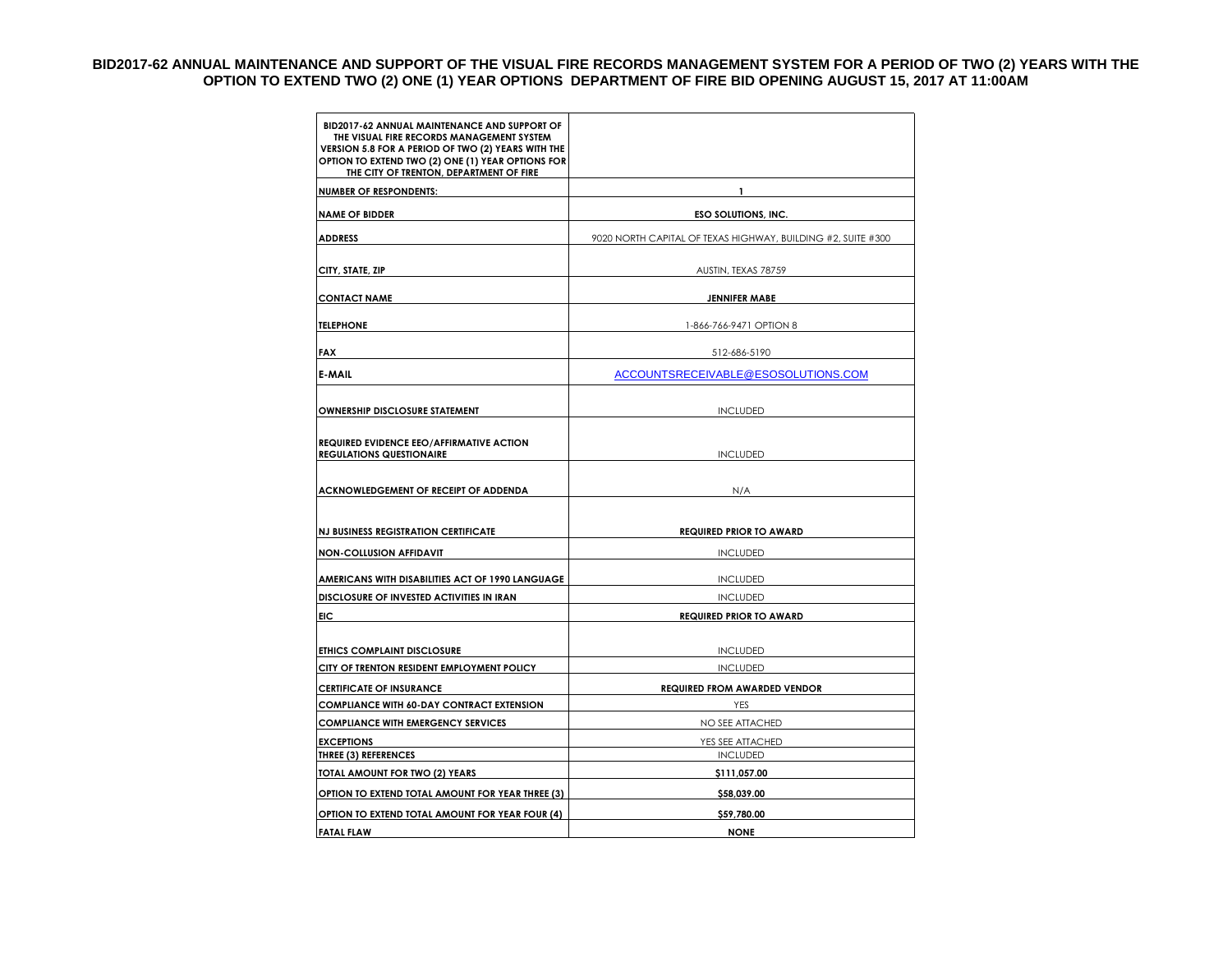## **BID2017-62 ANNUAL MAINTENANCE AND SUPPORT OF THE VISUAL FIRE RECORDS MANAGEMENT SYSTEM FOR A PERIOD OF TWO (2) YEARS WITH THE OPTION TO EXTEND TWO (2) ONE (1) YEAR OPTIONS DEPARTMENT OF FIRE BID OPENING AUGUST 15, 2017 AT 11:00AM**

| BID2017-62 ANNUAL MAINTENANCE AND SUPPORT OF<br>THE VISUAL FIRE RECORDS MANAGEMENT SYSTEM<br>VERSION 5.8 FOR A PERIOD OF TWO (2) YEARS WITH THE<br>OPTION TO EXTEND TWO (2) ONE (1) YEAR OPTIONS FOR<br>THE CITY OF TRENTON, DEPARTMENT OF FIRE |                                                              |
|-------------------------------------------------------------------------------------------------------------------------------------------------------------------------------------------------------------------------------------------------|--------------------------------------------------------------|
| <b>NUMBER OF RESPONDENTS:</b>                                                                                                                                                                                                                   | 1                                                            |
| <b>NAME OF BIDDER</b>                                                                                                                                                                                                                           | <b>ESO SOLUTIONS, INC.</b>                                   |
| <b>ADDRESS</b>                                                                                                                                                                                                                                  | 9020 NORTH CAPITAL OF TEXAS HIGHWAY, BUILDING #2, SUITE #300 |
|                                                                                                                                                                                                                                                 |                                                              |
| CITY, STATE, ZIP                                                                                                                                                                                                                                | AUSTIN, TEXAS 78759                                          |
| <b>CONTACT NAME</b>                                                                                                                                                                                                                             | <b>JENNIFER MABE</b>                                         |
|                                                                                                                                                                                                                                                 |                                                              |
| <b>TELEPHONE</b>                                                                                                                                                                                                                                | 1-866-766-9471 OPTION 8                                      |
| <b>FAX</b>                                                                                                                                                                                                                                      | 512-686-5190                                                 |
| <b>E-MAIL</b>                                                                                                                                                                                                                                   | ACCOUNTSRECEIVABLE@ESOSOLUTIONS.COM                          |
|                                                                                                                                                                                                                                                 |                                                              |
| <b>OWNERSHIP DISCLOSURE STATEMENT</b>                                                                                                                                                                                                           | <b>INCLUDED</b>                                              |
|                                                                                                                                                                                                                                                 |                                                              |
| REQUIRED EVIDENCE EEO/AFFIRMATIVE ACTION                                                                                                                                                                                                        |                                                              |
| <b>REGULATIONS QUESTIONAIRE</b>                                                                                                                                                                                                                 | <b>INCLUDED</b>                                              |
| ACKNOWLEDGEMENT OF RECEIPT OF ADDENDA                                                                                                                                                                                                           | N/A                                                          |
|                                                                                                                                                                                                                                                 |                                                              |
|                                                                                                                                                                                                                                                 |                                                              |
| <b>NJ BUSINESS REGISTRATION CERTIFICATE</b>                                                                                                                                                                                                     | <b>REQUIRED PRIOR TO AWARD</b>                               |
| <b>NON-COLLUSION AFFIDAVIT</b>                                                                                                                                                                                                                  | <b>INCLUDED</b>                                              |
| AMERICANS WITH DISABILITIES ACT OF 1990 LANGUAGE                                                                                                                                                                                                | <b>INCLUDED</b>                                              |
| DISCLOSURE OF INVESTED ACTIVITIES IN IRAN                                                                                                                                                                                                       | <b>INCLUDED</b>                                              |
| EIC                                                                                                                                                                                                                                             | <b>REQUIRED PRIOR TO AWARD</b>                               |
|                                                                                                                                                                                                                                                 |                                                              |
| <b>ETHICS COMPLAINT DISCLOSURE</b>                                                                                                                                                                                                              | <b>INCLUDED</b>                                              |
| CITY OF TRENTON RESIDENT EMPLOYMENT POLICY                                                                                                                                                                                                      | <b>INCLUDED</b>                                              |
| <b>CERTIFICATE OF INSURANCE</b>                                                                                                                                                                                                                 | <b>REQUIRED FROM AWARDED VENDOR</b>                          |
| <b>COMPLIANCE WITH 60-DAY CONTRACT EXTENSION</b>                                                                                                                                                                                                | YES                                                          |
| <b>COMPLIANCE WITH EMERGENCY SERVICES</b>                                                                                                                                                                                                       | NO SEE ATTACHED                                              |
| <b>EXCEPTIONS</b><br><b>THREE (3) REFERENCES</b>                                                                                                                                                                                                | YES SEE ATTACHED<br><b>INCLUDED</b>                          |
| TOTAL AMOUNT FOR TWO (2) YEARS                                                                                                                                                                                                                  | \$111,057.00                                                 |
| OPTION TO EXTEND TOTAL AMOUNT FOR YEAR THREE (3)                                                                                                                                                                                                | \$58,039.00                                                  |
| OPTION TO EXTEND TOTAL AMOUNT FOR YEAR FOUR (4)                                                                                                                                                                                                 | \$59,780.00                                                  |
| <b>FATAL FLAW</b>                                                                                                                                                                                                                               | <b>NONE</b>                                                  |
|                                                                                                                                                                                                                                                 |                                                              |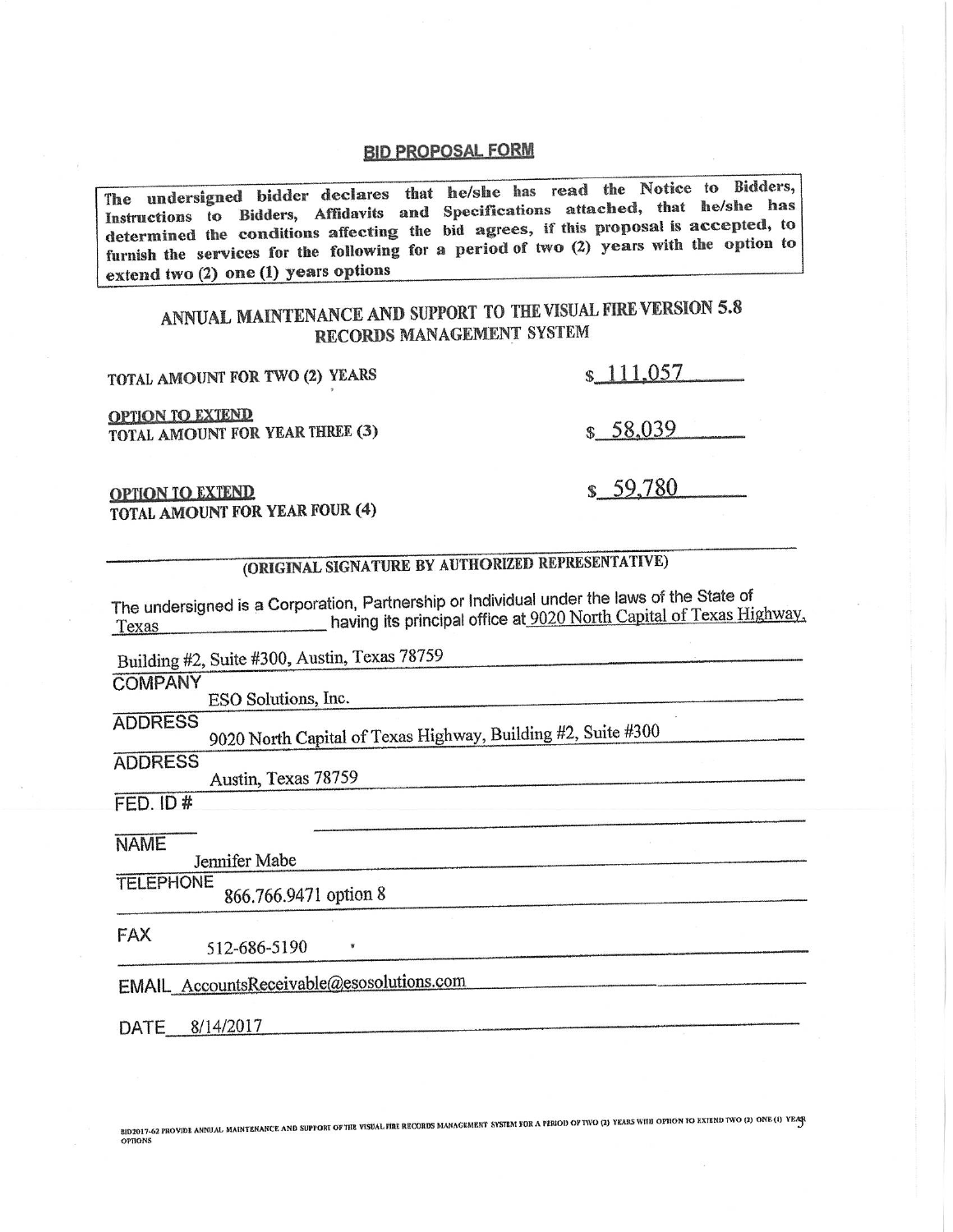## **BID PROPOSAL FORM**

The undersigned bidder declares that he/she has read the Notice to Bidders, Instructions to Bidders, Affidavits and Specifications attached, that he/she has determined the conditions affecting the bid agrees, if this proposal is accepted, to furnish the services for the following for a period of two (2) years with the option to extend two (2) one (1) years options

## ANNUAL MAINTENANCE AND SUPPORT TO THE VISUAL FIRE VERSION 5.8 RECORDS MANAGEMENT SYSTEM

| TOTAL AMOUNT FOR TWO (2) YEARS                                                                      | \$111.057                                                           |
|-----------------------------------------------------------------------------------------------------|---------------------------------------------------------------------|
| <b>OPTION TO EXTEND</b><br>TOTAL AMOUNT FOR YEAR THREE (3)                                          | \$58,039                                                            |
| <b>OPTION TO EXTEND</b><br>TOTAL AMOUNT FOR YEAR FOUR (4)                                           | \$59,780                                                            |
| (ORIGINAL SIGNATURE BY AUTHORIZED REPRESENTATIVE)                                                   |                                                                     |
| The undersigned is a Corporation, Partnership or Individual under the laws of the State of<br>Texas | having its principal office at 9020 North Capital of Texas Highway, |
| Building #2, Suite #300, Austin, Texas 78759                                                        |                                                                     |

**COMPANY** 

ESO Solutions, Inc.

**ADDRESS** 

9020 North Capital of Texas Highway, Building #2, Suite #300

**ADDRESS** 

Austin, Texas 78759

 $FED.$  ID  $#$ 

**NAME** 

Jennifer Mabe

**TELEPHONE** 866.766.9471 option 8

**FAX** 

512-686-5190

EMAIL\_AccountsReceivable@esosolutions.com

 $\pmb{\mathtt{w}}$ 

DATE 8/14/2017

BID2017-62 PROVIDE ANNUAL MAINTENANCE AND SUPPORT OF THE VISUAL FIRE RECORDS MANAGEMENT SYSTEM FOR A PERIOD OF TWO (2) YEARS WITH OFFION TO EXTEND TWO (2) ONE (1) YEARS **OPTIONS** 

a sa kacamatan ing kabupatèn Kabupatèn Bandaran Kabupatèn Kabupatèn Kabupatèn Kabupatèn Kabupatèn Kabupatèn Ka